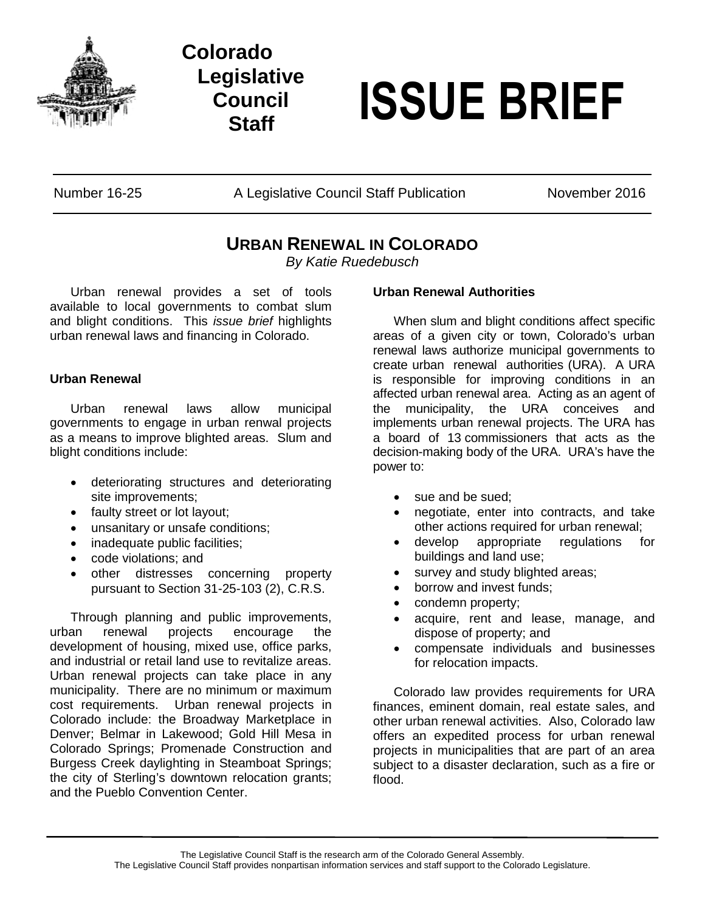

**Colorado Legislative Council**



Number 16-25 A Legislative Council Staff Publication November 2016

# **URBAN RENEWAL IN COLORADO**

*By Katie Ruedebusch*

Urban renewal provides a set of tools available to local governments to combat slum and blight conditions. This *issue brief* highlights urban renewal laws and financing in Colorado.

## **Urban Renewal**

Urban renewal laws allow municipal governments to engage in urban renwal projects as a means to improve blighted areas. Slum and blight conditions include:

- deteriorating structures and deteriorating site improvements;
- faulty street or lot layout;
- unsanitary or unsafe conditions;
- inadequate public facilities;
- code violations; and
- other distresses concerning property pursuant to Section 31-25-103 (2), C.R.S.

Through planning and public improvements, urban renewal projects encourage the development of housing, mixed use, office parks, and industrial or retail land use to revitalize areas. Urban renewal projects can take place in any municipality. There are no minimum or maximum cost requirements. Urban renewal projects in Colorado include: the Broadway Marketplace in Denver; Belmar in Lakewood; Gold Hill Mesa in Colorado Springs; Promenade Construction and Burgess Creek daylighting in Steamboat Springs; the city of Sterling's downtown relocation grants; and the Pueblo Convention Center.

### **Urban Renewal Authorities**

When slum and blight conditions affect specific areas of a given city or town, Colorado's urban renewal laws authorize municipal governments to create urban renewal authorities (URA). A URA is responsible for improving conditions in an affected urban renewal area. Acting as an agent of the municipality, the URA conceives and implements urban renewal projects. The URA has a board of 13 commissioners that acts as the decision-making body of the URA. URA's have the power to:

- sue and be sued:
- negotiate, enter into contracts, and take other actions required for urban renewal;
- develop appropriate regulations for buildings and land use;
- survey and study blighted areas;
- borrow and invest funds;
- condemn property;
- acquire, rent and lease, manage, and dispose of property; and
- compensate individuals and businesses for relocation impacts.

Colorado law provides requirements for URA finances, eminent domain, real estate sales, and other urban renewal activities. Also, Colorado law offers an expedited process for urban renewal projects in municipalities that are part of an area subject to a disaster declaration, such as a fire or flood.